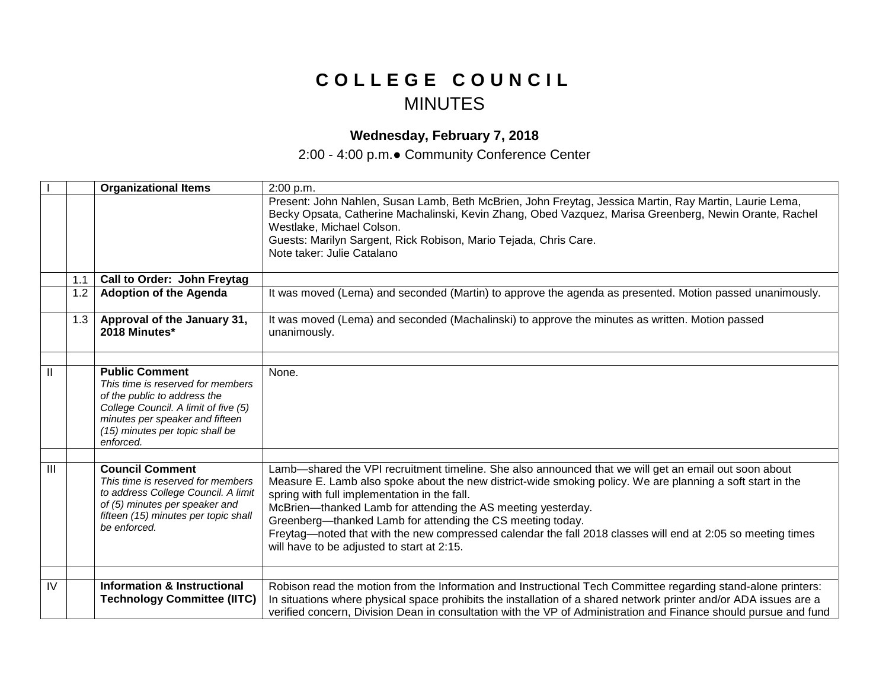## **C O L L E G E C O U N C I L** MINUTES

## **Wednesday, February 7, 2018**

2:00 - 4:00 p.m.● Community Conference Center

|                |     | <b>Organizational Items</b>                                                                                                                                                                                           | 2:00 p.m.                                                                                                                                                                                                                                                                                                                                                                                                                                                                                                                                                      |
|----------------|-----|-----------------------------------------------------------------------------------------------------------------------------------------------------------------------------------------------------------------------|----------------------------------------------------------------------------------------------------------------------------------------------------------------------------------------------------------------------------------------------------------------------------------------------------------------------------------------------------------------------------------------------------------------------------------------------------------------------------------------------------------------------------------------------------------------|
|                |     |                                                                                                                                                                                                                       | Present: John Nahlen, Susan Lamb, Beth McBrien, John Freytag, Jessica Martin, Ray Martin, Laurie Lema,<br>Becky Opsata, Catherine Machalinski, Kevin Zhang, Obed Vazquez, Marisa Greenberg, Newin Orante, Rachel<br>Westlake, Michael Colson.<br>Guests: Marilyn Sargent, Rick Robison, Mario Tejada, Chris Care.<br>Note taker: Julie Catalano                                                                                                                                                                                                                |
|                | 1.1 | Call to Order: John Freytag                                                                                                                                                                                           |                                                                                                                                                                                                                                                                                                                                                                                                                                                                                                                                                                |
|                | 1.2 | <b>Adoption of the Agenda</b>                                                                                                                                                                                         | It was moved (Lema) and seconded (Martin) to approve the agenda as presented. Motion passed unanimously.                                                                                                                                                                                                                                                                                                                                                                                                                                                       |
|                | 1.3 | Approval of the January 31,<br>2018 Minutes*                                                                                                                                                                          | It was moved (Lema) and seconded (Machalinski) to approve the minutes as written. Motion passed<br>unanimously.                                                                                                                                                                                                                                                                                                                                                                                                                                                |
| Ш.             |     | <b>Public Comment</b><br>This time is reserved for members<br>of the public to address the<br>College Council. A limit of five (5)<br>minutes per speaker and fifteen<br>(15) minutes per topic shall be<br>enforced. | None.                                                                                                                                                                                                                                                                                                                                                                                                                                                                                                                                                          |
| III            |     | <b>Council Comment</b><br>This time is reserved for members<br>to address College Council. A limit<br>of (5) minutes per speaker and<br>fifteen (15) minutes per topic shall<br>be enforced.                          | Lamb—shared the VPI recruitment timeline. She also announced that we will get an email out soon about<br>Measure E. Lamb also spoke about the new district-wide smoking policy. We are planning a soft start in the<br>spring with full implementation in the fall.<br>McBrien-thanked Lamb for attending the AS meeting yesterday.<br>Greenberg-thanked Lamb for attending the CS meeting today.<br>Freytag—noted that with the new compressed calendar the fall 2018 classes will end at 2:05 so meeting times<br>will have to be adjusted to start at 2:15. |
| $\overline{N}$ |     | <b>Information &amp; Instructional</b><br><b>Technology Committee (IITC)</b>                                                                                                                                          | Robison read the motion from the Information and Instructional Tech Committee regarding stand-alone printers:<br>In situations where physical space prohibits the installation of a shared network printer and/or ADA issues are a<br>verified concern, Division Dean in consultation with the VP of Administration and Finance should pursue and fund                                                                                                                                                                                                         |